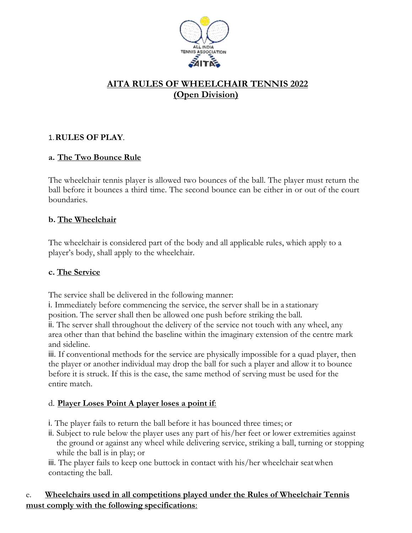

# **AITA RULES OF WHEELCHAIR TENNIS 2022 (Open Division)**

#### 1.**RULES OF PLAY**.

#### **a. The Two Bounce Rule**

The wheelchair tennis player is allowed two bounces of the ball. The player must return the ball before it bounces a third time. The second bounce can be either in or out of the court boundaries.

#### **b. The Wheelchair**

The wheelchair is considered part of the body and all applicable rules, which apply to a player's body, shall apply to the wheelchair.

#### **c. The Service**

The service shall be delivered in the following manner:

i. Immediately before commencing the service, the server shall be in a stationary position. The server shall then be allowed one push before striking the ball.

ii. The server shall throughout the delivery of the service not touch with any wheel, any area other than that behind the baseline within the imaginary extension of the centre mark and sideline.

iii. If conventional methods for the service are physically impossible for a quad player, then the player or another individual may drop the ball for such a player and allow it to bounce before it is struck. If this is the case, the same method of serving must be used for the entire match.

#### d. **Player Loses Point A player loses a point if**:

- i. The player fails to return the ball before it has bounced three times; or
- ii. Subject to rule below the player uses any part of his/her feet or lower extremities against the ground or against any wheel while delivering service, striking a ball, turning or stopping while the ball is in play; or

iii. The player fails to keep one buttock in contact with his/her wheelchair seatwhen contacting the ball.

#### e. **Wheelchairs used in all competitions played under the Rules of Wheelchair Tennis must comply with the following specifications**: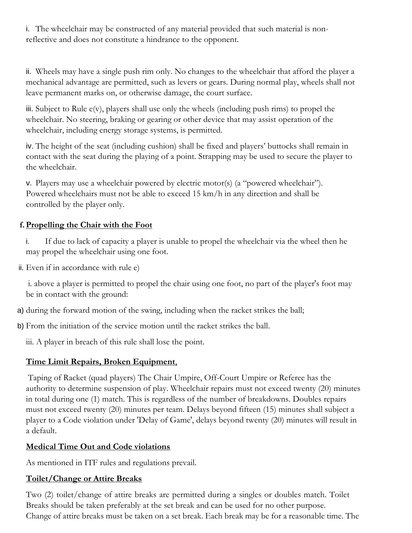i. The wheelchair may be constructed of any material provided that such material is nonreflective and does not constitute a hindrance to the opponent.

ii. Wheels may have a single push rim only. No changes to the wheelchair that afford the player a mechanical advantage are permitted, such as levers or gears. During normal play, wheels shall not leave permanent marks on, or otherwise damage, the court surface.

iii. Subject to Rule e(v), players shall use only the wheels (including push rims) to propel the wheelchair. No steering, braking or gearing or other device that may assist operation of the wheelchair, including energy storage systems, is permitted.

iv. The height of the seat (including cushion) shall be fixed and players' buttocks shall remain in contact with the seat during the playing of a point. Strapping may be used to secure the player to the wheelchair.

v. Players may use a wheelchair powered by electric motor(s) (a "powered wheelchair"). Powered wheelchairs must not be able to exceed 15 km/h in any direction and shall be controlled by the player only.

# **f.Propelling the Chair with the Foot**

i. If due to lack of capacity a player is unable to propel the wheelchair via the wheel then he may propel the wheelchair using one foot.

ii. Even if in accordance with rule e)

i. above a player is permitted to propel the chair using one foot, no part of the player's foot may be in contact with the ground:

- a) during the forward motion of the swing, including when the racket strikes the ball;
- b) From the initiation of the service motion until the racket strikes the ball.
	- iii. A player in breach of this rule shall lose the point.

## **Time Limit Repairs, Broken Equipment**,

Taping of Racket (quad players) The Chair Umpire, Off-Court Umpire or Referee has the authority to determine suspension of play. Wheelchair repairs must not exceed twenty (20) minutes in total during one (1) match. This is regardless of the number of breakdowns. Doubles repairs must not exceed twenty (20) minutes per team. Delays beyond fifteen (15) minutes shall subject a player to a Code violation under 'Delay of Game', delays beyond twenty (20) minutes will result in a default.

## **Medical Time Out and Code violations**

As mentioned in ITF rules and regulations prevail.

## **Toilet/Change or Attire Breaks**

Two (2) toilet/change of attire breaks are permitted during a singles or doubles match. Toilet Breaks should be taken preferably at the set break and can be used for no other purpose. Change of attire breaks must be taken on a set break. Each break may be for a reasonable time. The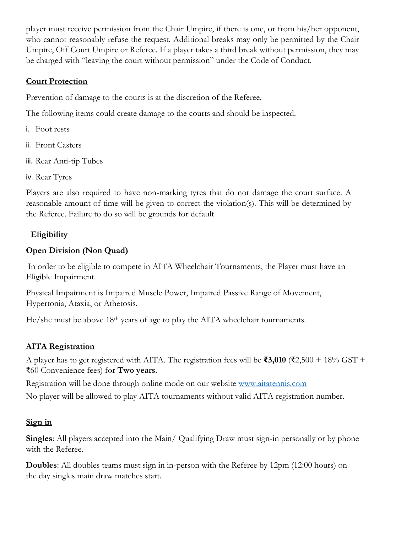player must receive permission from the Chair Umpire, if there is one, or from his/her opponent, who cannot reasonably refuse the request. Additional breaks may only be permitted by the Chair Umpire, Off Court Umpire or Referee. If a player takes a third break without permission, they may be charged with "leaving the court without permission" under the Code of Conduct.

# **Court Protection**

Prevention of damage to the courts is at the discretion of the Referee.

The following items could create damage to the courts and should be inspected.

- i. Foot rests
- ii. Front Casters
- iii. Rear Anti-tip Tubes
- iv. Rear Tyres

Players are also required to have non-marking tyres that do not damage the court surface. A reasonable amount of time will be given to correct the violation(s). This will be determined by the Referee. Failure to do so will be grounds for default

# **Eligibility**

# **Open Division (Non Quad)**

In order to be eligible to compete in AITA Wheelchair Tournaments, the Player must have an Eligible Impairment.

Physical Impairment is Impaired Muscle Power, Impaired Passive Range of Movement, Hypertonia, Ataxia, or Athetosis.

He/she must be above 18th years of age to play the AITA wheelchair tournaments.

# **AITA Registration**

A player has to get registered with AITA. The registration fees will be **₹3,010** (₹2,500 + 18% GST + ₹60 Convenience fees) for **Two years**.

Registration will be done through online mode on our website [www.aitatennis.com](http://www.aitatennis.com/) No player will be allowed to play AITA tournaments without valid AITA registration number.

## **Sign in**

**Singles**: All players accepted into the Main/ Qualifying Draw must sign-in personally or by phone with the Referee.

**Doubles**: All doubles teams must sign in in-person with the Referee by 12pm (12:00 hours) on the day singles main draw matches start.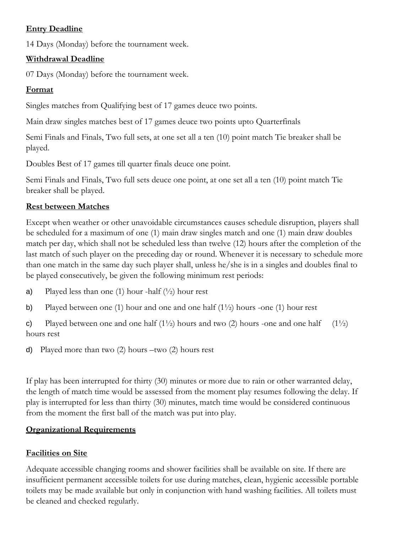#### **Entry Deadline**

14 Days (Monday) before the tournament week.

#### **Withdrawal Deadline**

07 Days (Monday) before the tournament week.

#### **Format**

Singles matches from Qualifying best of 17 games deuce two points.

Main draw singles matches best of 17 games deuce two points upto Quarterfinals

Semi Finals and Finals, Two full sets, at one set all a ten (10) point match Tie breaker shall be played.

Doubles Best of 17 games till quarter finals deuce one point.

Semi Finals and Finals, Two full sets deuce one point, at one set all a ten (10) point match Tie breaker shall be played.

## **Rest between Matches**

Except when weather or other unavoidable circumstances causes schedule disruption, players shall be scheduled for a maximum of one (1) main draw singles match and one (1) main draw doubles match per day, which shall not be scheduled less than twelve (12) hours after the completion of the last match of such player on the preceding day or round. Whenever it is necessary to schedule more than one match in the same day such player shall, unless he/she is in a singles and doubles final to be played consecutively, be given the following minimum rest periods:

- a) Played less than one (1) hour -half  $(\frac{1}{2})$  hour rest
- b) Played between one (1) hour and one and one half  $(1\frac{1}{2})$  hours -one (1) hour rest

c) Played between one and one half  $(1\frac{1}{2})$  hours and two  $(2)$  hours -one and one half  $(1\frac{1}{2})$ hours rest

d) Played more than two (2) hours –two (2) hours rest

If play has been interrupted for thirty (30) minutes or more due to rain or other warranted delay, the length of match time would be assessed from the moment play resumes following the delay. If play is interrupted for less than thirty (30) minutes, match time would be considered continuous from the moment the first ball of the match was put into play.

#### **Organizational Requirements**

## **Facilities on Site**

Adequate accessible changing rooms and shower facilities shall be available on site. If there are insufficient permanent accessible toilets for use during matches, clean, hygienic accessible portable toilets may be made available but only in conjunction with hand washing facilities. All toilets must be cleaned and checked regularly.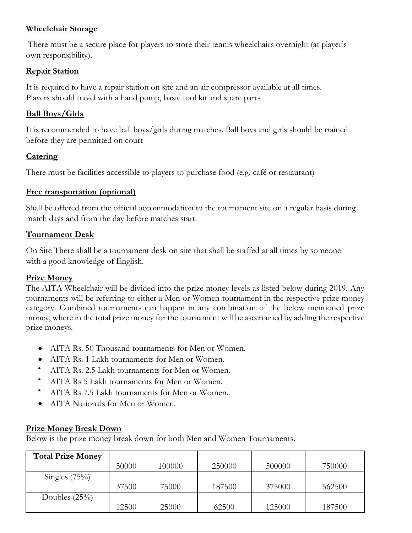#### **Wheelchair Storage**

There must be a secure place for players to store their tennis wheelchairs overnight (at player's own responsibility).

#### **Repair Station**

It is required to have a repair station on site and an air compressor available at all times. Players should travel with a hand pump, basic tool kit and spare parts

#### **Ball Boys/Girls**

It is recommended to have ball boys/girls during matches. Ball boys and girls should be trained before they are permitted on court

#### **Catering**

There must be facilities accessible to players to purchase food (e.g. café or restaurant)

#### **Free transportation (optional)**

Shall be offered from the official accommodation to the tournament site on a regular basis during match days and from the day before matches start.

#### **Tournament Desk**

On Site There shall be a tournament desk on site that shall be staffed at all times by someone with a good knowledge of English.

#### **Prize Money**

The AITA Wheelchair will be divided into the prize money levels as listed below during 2019. Any tournaments will be referring to either a Men or Women tournament in the respective prize money category. Combined tournaments can happen in any combination of the below mentioned prize money, where in the total prize money for the tournament will be ascertained by adding the respective prize moneys.

- AITA Rs. 50 Thousand tournaments for Men or Women.
- AITA Rs. 1 Lakh tournaments for Men or Women.
- AITA Rs. 2.5 Lakh tournaments for Men or Women.
- AITA Rs 5 Lakh tournaments for Men or Women.
- AITA Rs 7.5 Lakh tournaments for Men or Women.
- AITA Nationals for Men or Women.

#### **Prize Money Break Down**

Below is the prize money break down for both Men and Women Tournaments.

| <b>Total Prize Money</b> |       |        |        |        |        |
|--------------------------|-------|--------|--------|--------|--------|
|                          | 50000 | 100000 | 250000 | 500000 | 750000 |
| Singles $(75%)$          |       |        |        |        |        |
|                          | 37500 | 75000  | 187500 | 375000 | 562500 |
| Doubles $(25%)$          |       |        |        |        |        |
|                          | 12500 | 25000  | 62500  | 125000 | 187500 |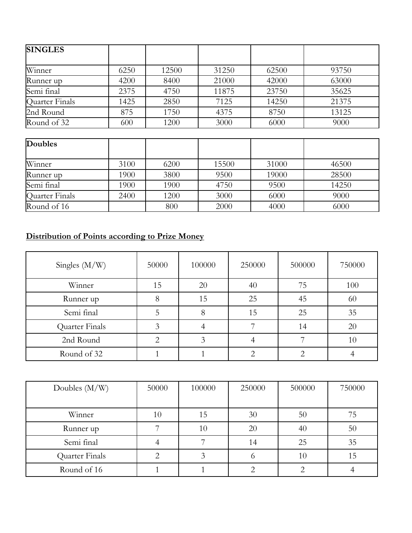| <b>SINGLES</b> |      |       |       |       |       |
|----------------|------|-------|-------|-------|-------|
|                |      |       |       |       |       |
| Winner         | 6250 | 12500 | 31250 | 62500 | 93750 |
| Runner up      | 4200 | 8400  | 21000 | 42000 | 63000 |
| Semi final     | 2375 | 4750  | 11875 | 23750 | 35625 |
| Quarter Finals | 1425 | 2850  | 7125  | 14250 | 21375 |
| 2nd Round      | 875  | 1750  | 4375  | 8750  | 13125 |
| Round of 32    | 600  | 1200  | 3000  | 6000  | 9000  |
|                |      |       |       |       |       |
| Doubles        |      |       |       |       |       |
|                |      |       |       |       |       |
| Winner         | 3100 | 6200  | 15500 | 31000 | 46500 |
| Runner up      | 1900 | 3800  | 9500  | 19000 | 28500 |
| Semi final     | 1900 | 1900  | 4750  | 9500  | 14250 |
| Quarter Finals | 2400 | 1200  | 3000  | 6000  | 9000  |
| Round of 16    |      | 800   | 2000  | 4000  | 6000  |

# **Distribution of Points according to Prize Money**

| Singles $(M/W)$ | 50000 | 100000 | 250000 | 500000 | 750000 |
|-----------------|-------|--------|--------|--------|--------|
| Winner          | 15    | 20     | 40     | 75     | 100    |
| Runner up       | 8     | 15     | 25     | 45     | 60     |
| Semi final      |       |        | 15     | 25     | 35     |
| Quarter Finals  | 3     |        |        | 14     | 20     |
| 2nd Round       | ◠     |        |        |        | 10     |
| Round of 32     |       |        |        |        |        |

| Doubles $(M/W)$ | 50000 | 100000 | 250000 | 500000 | 750000 |
|-----------------|-------|--------|--------|--------|--------|
|                 |       |        |        |        |        |
| Winner          | 10    | 15     | 30     | 50     |        |
| Runner up       |       | 10     | 20     | 40     | 50     |
| Semi final      |       |        | 14     | 25     | 35     |
| Quarter Finals  |       |        | O      | 10     |        |
| Round of 16     |       |        |        |        |        |